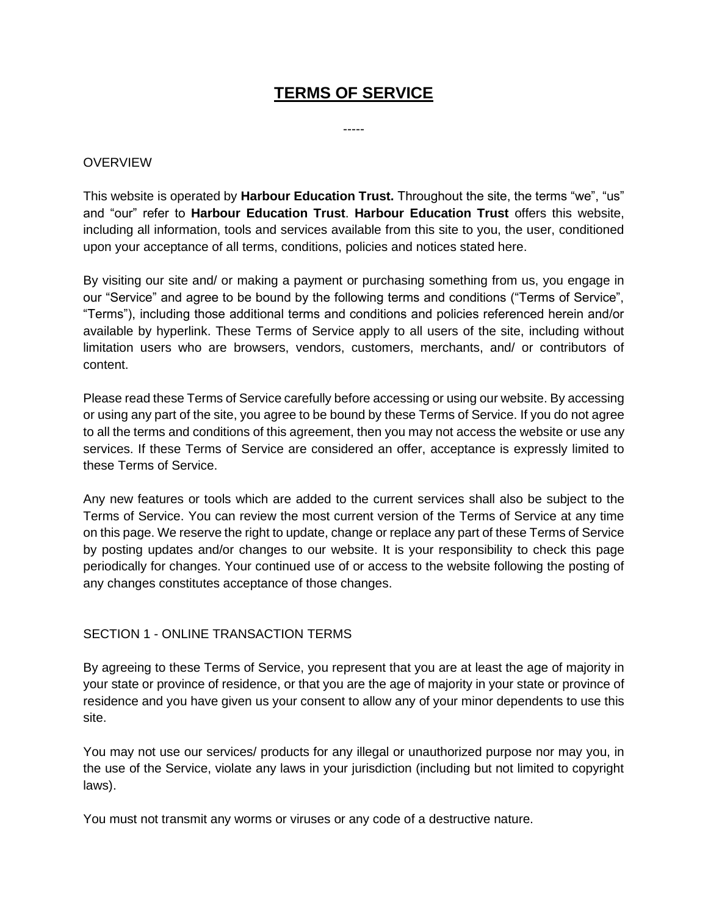# **TERMS OF SERVICE**

-----

#### OVERVIEW

This website is operated by **Harbour Education Trust.** Throughout the site, the terms "we", "us" and "our" refer to **Harbour Education Trust**. **Harbour Education Trust** offers this website, including all information, tools and services available from this site to you, the user, conditioned upon your acceptance of all terms, conditions, policies and notices stated here.

By visiting our site and/ or making a payment or purchasing something from us, you engage in our "Service" and agree to be bound by the following terms and conditions ("Terms of Service", "Terms"), including those additional terms and conditions and policies referenced herein and/or available by hyperlink. These Terms of Service apply to all users of the site, including without limitation users who are browsers, vendors, customers, merchants, and/ or contributors of content.

Please read these Terms of Service carefully before accessing or using our website. By accessing or using any part of the site, you agree to be bound by these Terms of Service. If you do not agree to all the terms and conditions of this agreement, then you may not access the website or use any services. If these Terms of Service are considered an offer, acceptance is expressly limited to these Terms of Service.

Any new features or tools which are added to the current services shall also be subject to the Terms of Service. You can review the most current version of the Terms of Service at any time on this page. We reserve the right to update, change or replace any part of these Terms of Service by posting updates and/or changes to our website. It is your responsibility to check this page periodically for changes. Your continued use of or access to the website following the posting of any changes constitutes acceptance of those changes.

## SECTION 1 - ONLINE TRANSACTION TERMS

By agreeing to these Terms of Service, you represent that you are at least the age of majority in your state or province of residence, or that you are the age of majority in your state or province of residence and you have given us your consent to allow any of your minor dependents to use this site.

You may not use our services/ products for any illegal or unauthorized purpose nor may you, in the use of the Service, violate any laws in your jurisdiction (including but not limited to copyright laws).

You must not transmit any worms or viruses or any code of a destructive nature.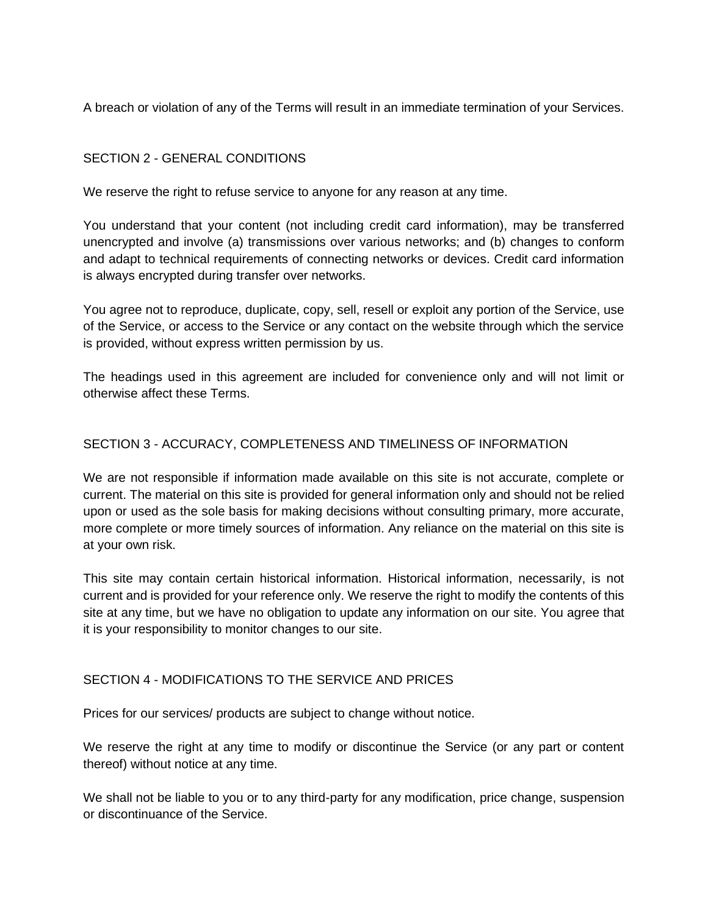A breach or violation of any of the Terms will result in an immediate termination of your Services.

# SECTION 2 - GENERAL CONDITIONS

We reserve the right to refuse service to anyone for any reason at any time.

You understand that your content (not including credit card information), may be transferred unencrypted and involve (a) transmissions over various networks; and (b) changes to conform and adapt to technical requirements of connecting networks or devices. Credit card information is always encrypted during transfer over networks.

You agree not to reproduce, duplicate, copy, sell, resell or exploit any portion of the Service, use of the Service, or access to the Service or any contact on the website through which the service is provided, without express written permission by us.

The headings used in this agreement are included for convenience only and will not limit or otherwise affect these Terms.

## SECTION 3 - ACCURACY, COMPLETENESS AND TIMELINESS OF INFORMATION

We are not responsible if information made available on this site is not accurate, complete or current. The material on this site is provided for general information only and should not be relied upon or used as the sole basis for making decisions without consulting primary, more accurate, more complete or more timely sources of information. Any reliance on the material on this site is at your own risk.

This site may contain certain historical information. Historical information, necessarily, is not current and is provided for your reference only. We reserve the right to modify the contents of this site at any time, but we have no obligation to update any information on our site. You agree that it is your responsibility to monitor changes to our site.

## SECTION 4 - MODIFICATIONS TO THE SERVICE AND PRICES

Prices for our services/ products are subject to change without notice.

We reserve the right at any time to modify or discontinue the Service (or any part or content thereof) without notice at any time.

We shall not be liable to you or to any third-party for any modification, price change, suspension or discontinuance of the Service.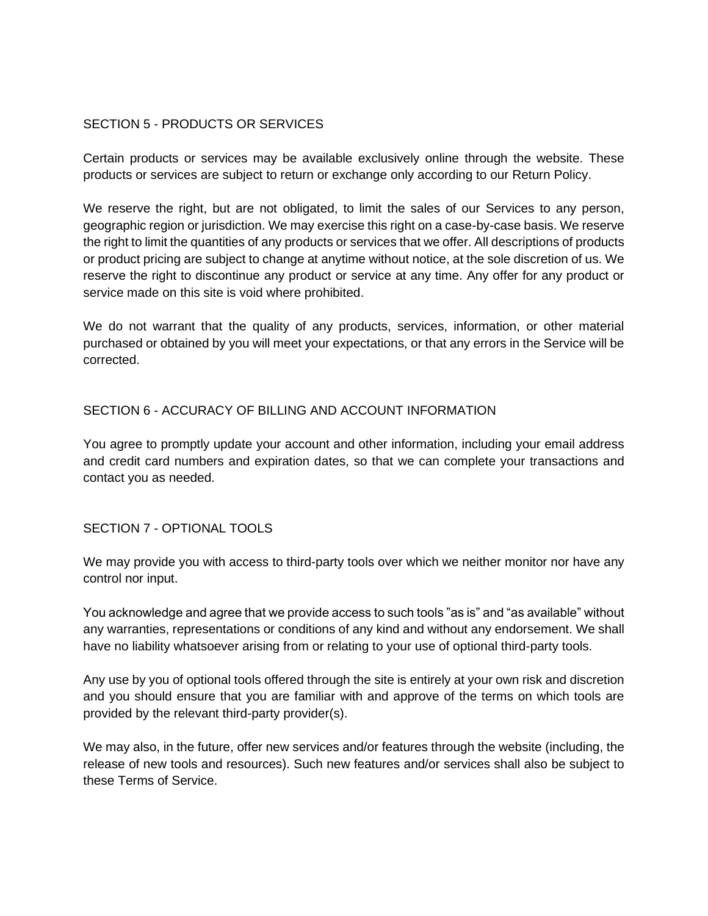# SECTION 5 - PRODUCTS OR SERVICES

Certain products or services may be available exclusively online through the website. These products or services are subject to return or exchange only according to our Return Policy.

We reserve the right, but are not obligated, to limit the sales of our Services to any person, geographic region or jurisdiction. We may exercise this right on a case-by-case basis. We reserve the right to limit the quantities of any products or services that we offer. All descriptions of products or product pricing are subject to change at anytime without notice, at the sole discretion of us. We reserve the right to discontinue any product or service at any time. Any offer for any product or service made on this site is void where prohibited.

We do not warrant that the quality of any products, services, information, or other material purchased or obtained by you will meet your expectations, or that any errors in the Service will be corrected.

# SECTION 6 - ACCURACY OF BILLING AND ACCOUNT INFORMATION

You agree to promptly update your account and other information, including your email address and credit card numbers and expiration dates, so that we can complete your transactions and contact you as needed.

## SECTION 7 - OPTIONAL TOOLS

We may provide you with access to third-party tools over which we neither monitor nor have any control nor input.

You acknowledge and agree that we provide access to such tools "as is" and "as available" without any warranties, representations or conditions of any kind and without any endorsement. We shall have no liability whatsoever arising from or relating to your use of optional third-party tools.

Any use by you of optional tools offered through the site is entirely at your own risk and discretion and you should ensure that you are familiar with and approve of the terms on which tools are provided by the relevant third-party provider(s).

We may also, in the future, offer new services and/or features through the website (including, the release of new tools and resources). Such new features and/or services shall also be subject to these Terms of Service.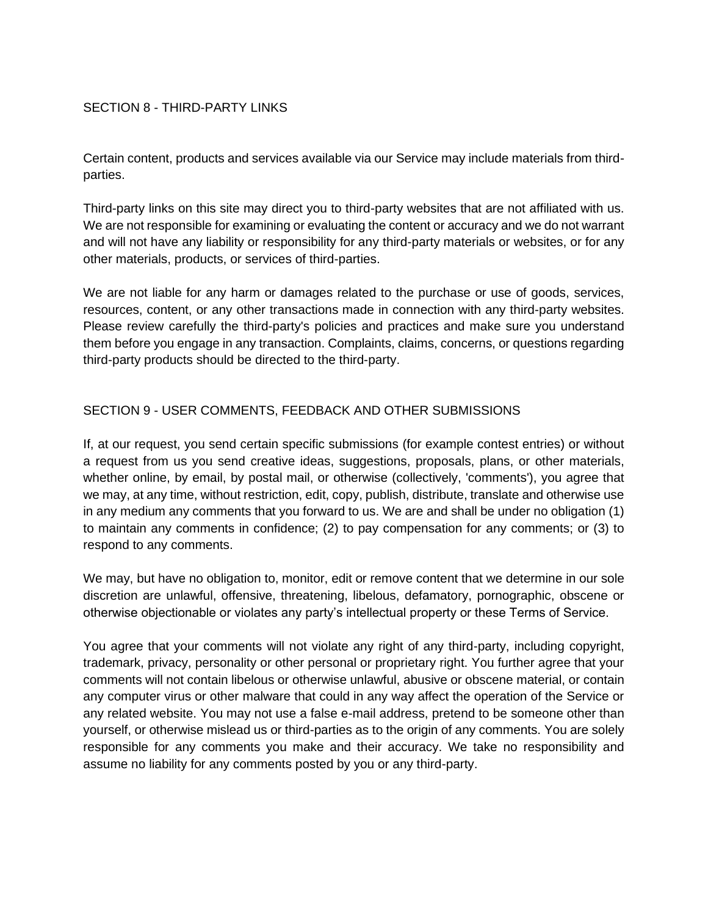# SECTION 8 - THIRD-PARTY LINKS

Certain content, products and services available via our Service may include materials from thirdparties.

Third-party links on this site may direct you to third-party websites that are not affiliated with us. We are not responsible for examining or evaluating the content or accuracy and we do not warrant and will not have any liability or responsibility for any third-party materials or websites, or for any other materials, products, or services of third-parties.

We are not liable for any harm or damages related to the purchase or use of goods, services, resources, content, or any other transactions made in connection with any third-party websites. Please review carefully the third-party's policies and practices and make sure you understand them before you engage in any transaction. Complaints, claims, concerns, or questions regarding third-party products should be directed to the third-party.

# SECTION 9 - USER COMMENTS, FEEDBACK AND OTHER SUBMISSIONS

If, at our request, you send certain specific submissions (for example contest entries) or without a request from us you send creative ideas, suggestions, proposals, plans, or other materials, whether online, by email, by postal mail, or otherwise (collectively, 'comments'), you agree that we may, at any time, without restriction, edit, copy, publish, distribute, translate and otherwise use in any medium any comments that you forward to us. We are and shall be under no obligation (1) to maintain any comments in confidence; (2) to pay compensation for any comments; or (3) to respond to any comments.

We may, but have no obligation to, monitor, edit or remove content that we determine in our sole discretion are unlawful, offensive, threatening, libelous, defamatory, pornographic, obscene or otherwise objectionable or violates any party's intellectual property or these Terms of Service.

You agree that your comments will not violate any right of any third-party, including copyright, trademark, privacy, personality or other personal or proprietary right. You further agree that your comments will not contain libelous or otherwise unlawful, abusive or obscene material, or contain any computer virus or other malware that could in any way affect the operation of the Service or any related website. You may not use a false e-mail address, pretend to be someone other than yourself, or otherwise mislead us or third-parties as to the origin of any comments. You are solely responsible for any comments you make and their accuracy. We take no responsibility and assume no liability for any comments posted by you or any third-party.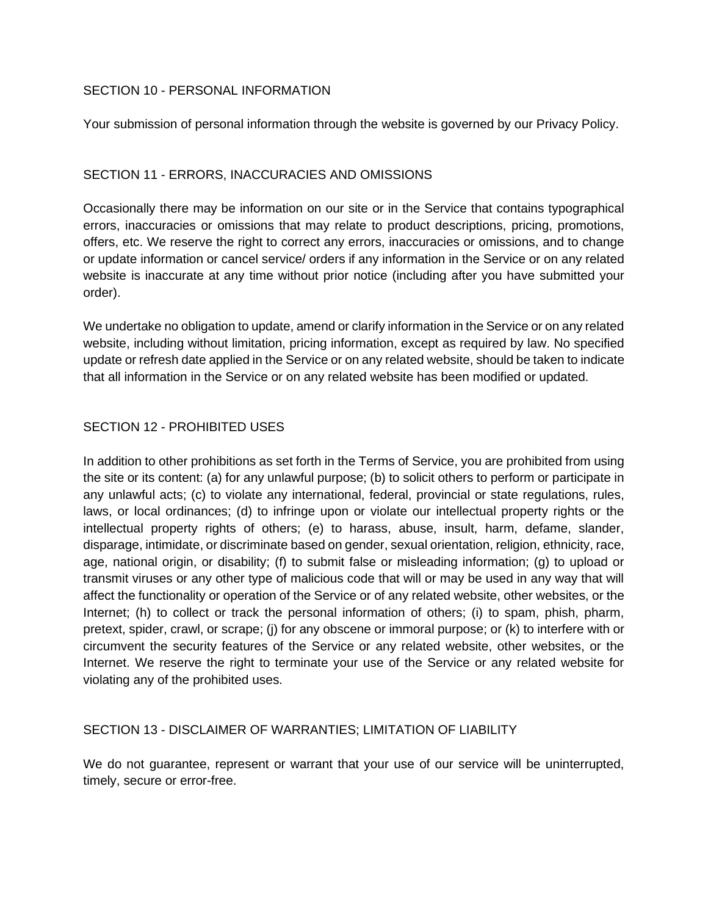# SECTION 10 - PERSONAL INFORMATION

Your submission of personal information through the website is governed by our Privacy Policy.

# SECTION 11 - ERRORS, INACCURACIES AND OMISSIONS

Occasionally there may be information on our site or in the Service that contains typographical errors, inaccuracies or omissions that may relate to product descriptions, pricing, promotions, offers, etc. We reserve the right to correct any errors, inaccuracies or omissions, and to change or update information or cancel service/ orders if any information in the Service or on any related website is inaccurate at any time without prior notice (including after you have submitted your order).

We undertake no obligation to update, amend or clarify information in the Service or on any related website, including without limitation, pricing information, except as required by law. No specified update or refresh date applied in the Service or on any related website, should be taken to indicate that all information in the Service or on any related website has been modified or updated.

# SECTION 12 - PROHIBITED USES

In addition to other prohibitions as set forth in the Terms of Service, you are prohibited from using the site or its content: (a) for any unlawful purpose; (b) to solicit others to perform or participate in any unlawful acts; (c) to violate any international, federal, provincial or state regulations, rules, laws, or local ordinances; (d) to infringe upon or violate our intellectual property rights or the intellectual property rights of others; (e) to harass, abuse, insult, harm, defame, slander, disparage, intimidate, or discriminate based on gender, sexual orientation, religion, ethnicity, race, age, national origin, or disability; (f) to submit false or misleading information; (g) to upload or transmit viruses or any other type of malicious code that will or may be used in any way that will affect the functionality or operation of the Service or of any related website, other websites, or the Internet; (h) to collect or track the personal information of others; (i) to spam, phish, pharm, pretext, spider, crawl, or scrape; (j) for any obscene or immoral purpose; or (k) to interfere with or circumvent the security features of the Service or any related website, other websites, or the Internet. We reserve the right to terminate your use of the Service or any related website for violating any of the prohibited uses.

## SECTION 13 - DISCLAIMER OF WARRANTIES; LIMITATION OF LIABILITY

We do not guarantee, represent or warrant that your use of our service will be uninterrupted, timely, secure or error-free.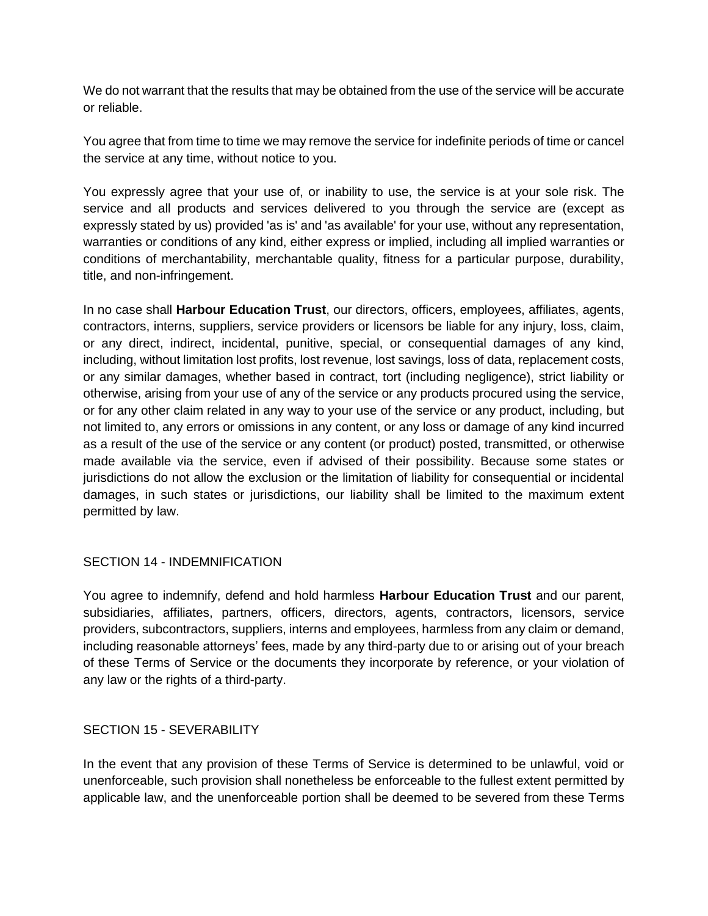We do not warrant that the results that may be obtained from the use of the service will be accurate or reliable.

You agree that from time to time we may remove the service for indefinite periods of time or cancel the service at any time, without notice to you.

You expressly agree that your use of, or inability to use, the service is at your sole risk. The service and all products and services delivered to you through the service are (except as expressly stated by us) provided 'as is' and 'as available' for your use, without any representation, warranties or conditions of any kind, either express or implied, including all implied warranties or conditions of merchantability, merchantable quality, fitness for a particular purpose, durability, title, and non-infringement.

In no case shall **Harbour Education Trust**, our directors, officers, employees, affiliates, agents, contractors, interns, suppliers, service providers or licensors be liable for any injury, loss, claim, or any direct, indirect, incidental, punitive, special, or consequential damages of any kind, including, without limitation lost profits, lost revenue, lost savings, loss of data, replacement costs, or any similar damages, whether based in contract, tort (including negligence), strict liability or otherwise, arising from your use of any of the service or any products procured using the service, or for any other claim related in any way to your use of the service or any product, including, but not limited to, any errors or omissions in any content, or any loss or damage of any kind incurred as a result of the use of the service or any content (or product) posted, transmitted, or otherwise made available via the service, even if advised of their possibility. Because some states or jurisdictions do not allow the exclusion or the limitation of liability for consequential or incidental damages, in such states or jurisdictions, our liability shall be limited to the maximum extent permitted by law.

## SECTION 14 - INDEMNIFICATION

You agree to indemnify, defend and hold harmless **Harbour Education Trust** and our parent, subsidiaries, affiliates, partners, officers, directors, agents, contractors, licensors, service providers, subcontractors, suppliers, interns and employees, harmless from any claim or demand, including reasonable attorneys' fees, made by any third-party due to or arising out of your breach of these Terms of Service or the documents they incorporate by reference, or your violation of any law or the rights of a third-party.

## SECTION 15 - SEVERABILITY

In the event that any provision of these Terms of Service is determined to be unlawful, void or unenforceable, such provision shall nonetheless be enforceable to the fullest extent permitted by applicable law, and the unenforceable portion shall be deemed to be severed from these Terms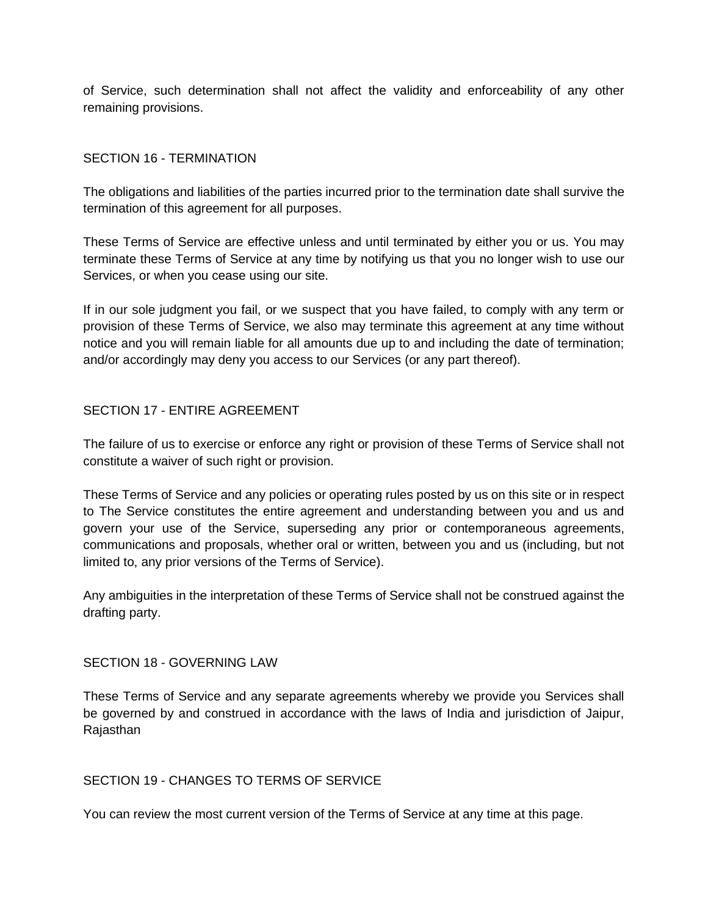of Service, such determination shall not affect the validity and enforceability of any other remaining provisions.

## SECTION 16 - TERMINATION

The obligations and liabilities of the parties incurred prior to the termination date shall survive the termination of this agreement for all purposes.

These Terms of Service are effective unless and until terminated by either you or us. You may terminate these Terms of Service at any time by notifying us that you no longer wish to use our Services, or when you cease using our site.

If in our sole judgment you fail, or we suspect that you have failed, to comply with any term or provision of these Terms of Service, we also may terminate this agreement at any time without notice and you will remain liable for all amounts due up to and including the date of termination; and/or accordingly may deny you access to our Services (or any part thereof).

# SECTION 17 - ENTIRE AGREEMENT

The failure of us to exercise or enforce any right or provision of these Terms of Service shall not constitute a waiver of such right or provision.

These Terms of Service and any policies or operating rules posted by us on this site or in respect to The Service constitutes the entire agreement and understanding between you and us and govern your use of the Service, superseding any prior or contemporaneous agreements, communications and proposals, whether oral or written, between you and us (including, but not limited to, any prior versions of the Terms of Service).

Any ambiguities in the interpretation of these Terms of Service shall not be construed against the drafting party.

## SECTION 18 - GOVERNING LAW

These Terms of Service and any separate agreements whereby we provide you Services shall be governed by and construed in accordance with the laws of India and jurisdiction of Jaipur, Rajasthan

## SECTION 19 - CHANGES TO TERMS OF SERVICE

You can review the most current version of the Terms of Service at any time at this page.